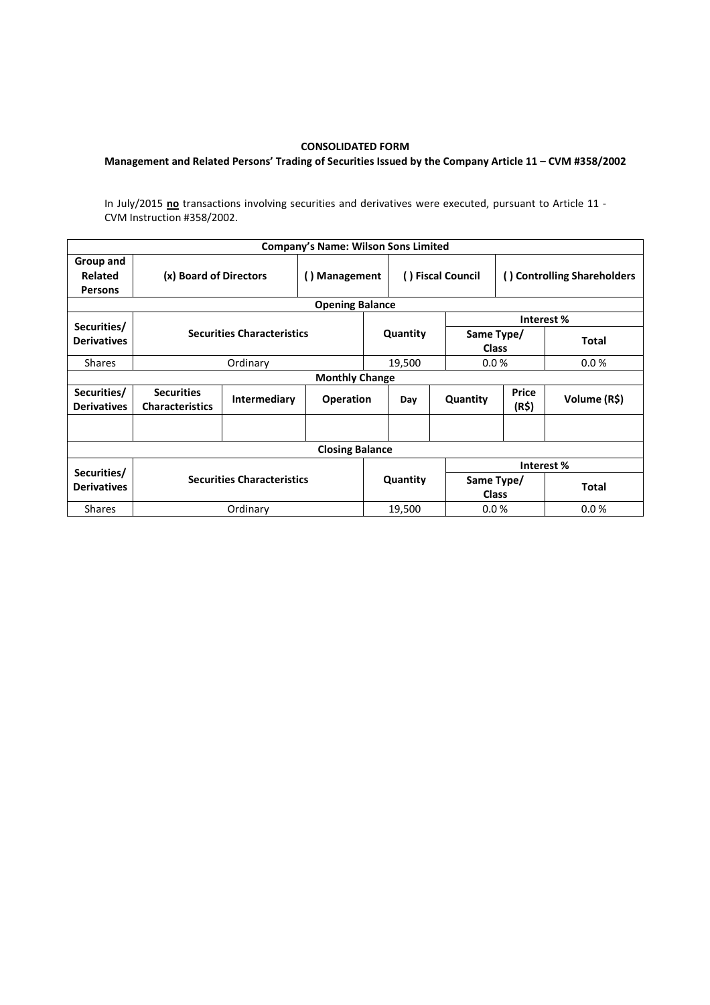## CONSOLIDATED FORM

## Management and Related Persons' Trading of Securities Issued by the Company Article 11 – CVM #358/2002

In July/2015 no transactions involving securities and derivatives were executed, pursuant to Article 11 -CVM Instruction #358/2002.

|                                        |                                             |                                   | <b>Company's Name: Wilson Sons Limited</b> |          |                   |          |                             |              |  |  |  |  |
|----------------------------------------|---------------------------------------------|-----------------------------------|--------------------------------------------|----------|-------------------|----------|-----------------------------|--------------|--|--|--|--|
| Group and<br>Related<br><b>Persons</b> | (x) Board of Directors                      |                                   | () Management                              |          | () Fiscal Council |          | () Controlling Shareholders |              |  |  |  |  |
| <b>Opening Balance</b>                 |                                             |                                   |                                            |          |                   |          |                             |              |  |  |  |  |
| Securities/                            |                                             |                                   |                                            |          |                   |          | Interest %                  |              |  |  |  |  |
| <b>Derivatives</b>                     |                                             | <b>Securities Characteristics</b> |                                            |          | Quantity          |          | Same Type/<br><b>Class</b>  | <b>Total</b> |  |  |  |  |
| <b>Shares</b>                          |                                             | Ordinary                          |                                            |          | 19,500            |          | 0.0%                        | 0.0 %        |  |  |  |  |
| <b>Monthly Change</b>                  |                                             |                                   |                                            |          |                   |          |                             |              |  |  |  |  |
| Securities/<br><b>Derivatives</b>      | <b>Securities</b><br><b>Characteristics</b> | Intermediary                      | <b>Operation</b>                           |          | Day               | Quantity | Price<br>(R\$)              | Volume (R\$) |  |  |  |  |
|                                        |                                             |                                   |                                            |          |                   |          |                             |              |  |  |  |  |
| <b>Closing Balance</b>                 |                                             |                                   |                                            |          |                   |          |                             |              |  |  |  |  |
|                                        |                                             |                                   |                                            |          |                   |          | Interest %                  |              |  |  |  |  |
| Securities/<br><b>Derivatives</b>      | <b>Securities Characteristics</b>           |                                   |                                            | Quantity |                   |          | Same Type/<br><b>Class</b>  | <b>Total</b> |  |  |  |  |
| <b>Shares</b>                          | Ordinary                                    |                                   |                                            | 19,500   |                   |          | 0.0%                        | 0.0%         |  |  |  |  |